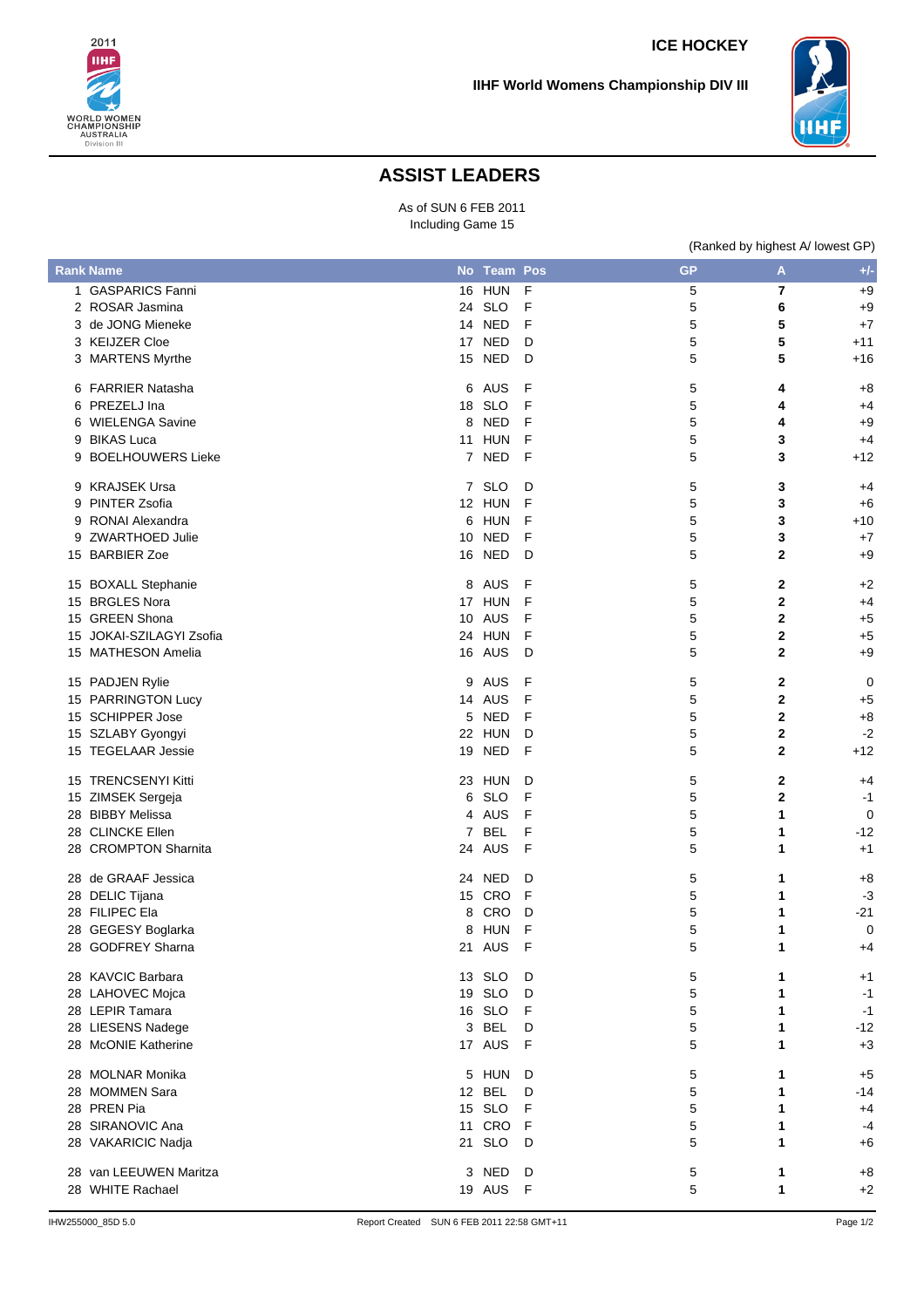



## **ASSIST LEADERS**

As of SUN 6 FEB 2011 Including Game 15

|   |                          |    |               |   | (Ranked by highest A/ lowest GP) |              |             |
|---|--------------------------|----|---------------|---|----------------------------------|--------------|-------------|
|   | <b>Rank Name</b>         |    | No Team Pos   |   | <b>GP</b>                        | A            | $+/-$       |
|   | 1 GASPARICS Fanni        |    | <b>16 HUN</b> | F | 5                                | 7            | $+9$        |
|   | 2 ROSAR Jasmina          |    | 24 SLO        | F | 5                                | 6            | $+9$        |
|   | 3 de JONG Mieneke        |    | 14 NED        | F | 5                                | 5            | $+7$        |
|   | 3 KEIJZER Cloe           |    | 17 NED        | D | 5                                | 5            | $+11$       |
|   | 3 MARTENS Myrthe         |    | 15 NED        | D | 5                                | 5            | $+16$       |
|   | 6 FARRIER Natasha        |    | 6 AUS         | F | 5                                | 4            | $+8$        |
|   | 6 PREZELJ Ina            | 18 | <b>SLO</b>    | F | 5                                | 4            | $+4$        |
|   | 6 WIELENGA Savine        | 8  | <b>NED</b>    | F | 5                                | 4            | $+9$        |
|   | 9 BIKAS Luca             | 11 | <b>HUN</b>    | F | $\mathbf 5$                      | 3            | $+4$        |
| 9 | <b>BOELHOUWERS Lieke</b> |    | 7 NED         | F | 5                                | 3            | $+12$       |
|   | 9 KRAJSEK Ursa           |    | 7 SLO         | D | 5                                | 3            | $+4$        |
|   | 9 PINTER Zsofia          |    | 12 HUN        | F | 5                                | 3            | $+6$        |
| 9 | RONAI Alexandra          | 6  | HUN           | F | 5                                | 3            | $+10$       |
|   | 9 ZWARTHOED Julie        | 10 | <b>NED</b>    | F | 5                                | 3            | $+7$        |
|   | 15 BARBIER Zoe           |    | 16 NED        | D | 5                                | $\mathbf{2}$ | $+9$        |
|   | 15 BOXALL Stephanie      |    | 8 AUS         | F | 5                                | 2            | $+2$        |
|   | 15 BRGLES Nora           |    | 17 HUN        | F | 5                                | $\mathbf{2}$ | $+4$        |
|   | 15 GREEN Shona           |    | 10 AUS        | F | 5                                | $\mathbf{2}$ | $+5$        |
|   | 15 JOKAI-SZILAGYI Zsofia |    | 24 HUN        | F | $\mathbf 5$                      | $\mathbf 2$  | $+5$        |
|   | 15 MATHESON Amelia       |    | 16 AUS        | D | 5                                | $\mathbf 2$  | $+9$        |
|   | 15 PADJEN Rylie          | 9  | AUS           | F | 5                                | $\mathbf{2}$ | 0           |
|   | 15 PARRINGTON Lucy       | 14 | AUS           | F | 5                                | $\mathbf 2$  | $+5$        |
|   | 15 SCHIPPER Jose         | 5  | <b>NED</b>    | F | 5                                | $\mathbf 2$  | $+8$        |
|   | 15 SZLABY Gyongyi        |    | 22 HUN        | D | 5                                | $\mathbf{2}$ | $-2$        |
|   | 15 TEGELAAR Jessie       | 19 | <b>NED</b>    | F | 5                                | $\mathbf{2}$ | $+12$       |
|   | 15 TRENCSENYI Kitti      |    | 23 HUN        | D | 5                                | $\mathbf{2}$ | $+4$        |
|   | 15 ZIMSEK Sergeja        | 6  | <b>SLO</b>    | F | 5                                | $\mathbf 2$  | $-1$        |
|   | 28 BIBBY Melissa         |    | 4 AUS         | F | 5                                | 1            | $\mathbf 0$ |
|   | 28 CLINCKE Ellen         |    | 7 BEL         | F | $\mathbf 5$                      | 1            | $-12$       |
|   | 28 CROMPTON Sharnita     | 24 | AUS           | F | 5                                | 1            | $+1$        |
|   | 28 de GRAAF Jessica      |    | 24 NED        | D | 5                                | 1            | $+8$        |
|   | 28 DELIC Tijana          |    | 15 CRO        | F | 5                                | 1            | $-3$        |
|   | 28 FILIPEC Ela           |    | 8 CRO         | D | 5                                | 1            | $-21$       |
|   | 28 GEGESY Boglarka       |    | 8 HUN         | F | 5                                | 1            | $\Omega$    |
|   | 28 GODFREY Sharna        |    | 21 AUS F      |   | 5                                | 1            | +4          |
|   | 28 KAVCIC Barbara        |    | 13 SLO        | D | 5                                | 1            | $+1$        |
|   | 28 LAHOVEC Mojca         |    | 19 SLO        | D | 5                                | 1            | $-1$        |
|   | 28 LEPIR Tamara          |    | 16 SLO        | F | 5                                | 1            | $-1$        |
|   | 28 LIESENS Nadege        |    | 3 BEL         | D | $\mathbf 5$                      | 1            | $-12$       |
|   | 28 McONIE Katherine      |    | 17 AUS        | F | 5                                | 1            | $+3$        |
|   | 28 MOLNAR Monika         |    | 5 HUN         | D | 5                                | 1            | $+5$        |
|   | 28 MOMMEN Sara           |    | 12 BEL        | D | 5                                | 1            | $-14$       |
|   | 28 PREN Pia              |    | 15 SLO        | F | 5                                | 1            | $+4$        |
|   | 28 SIRANOVIC Ana         | 11 | CRO           | F | 5                                | 1            | -4          |
|   | 28 VAKARICIC Nadja       |    | 21 SLO        | D | 5                                | 1            | $+6$        |
|   | 28 van LEEUWEN Maritza   |    | 3 NED         | D | 5                                | 1            | $+8$        |
|   | 28 WHITE Rachael         |    | 19 AUS F      |   | 5                                | 1            | $+2$        |
|   |                          |    |               |   |                                  |              |             |